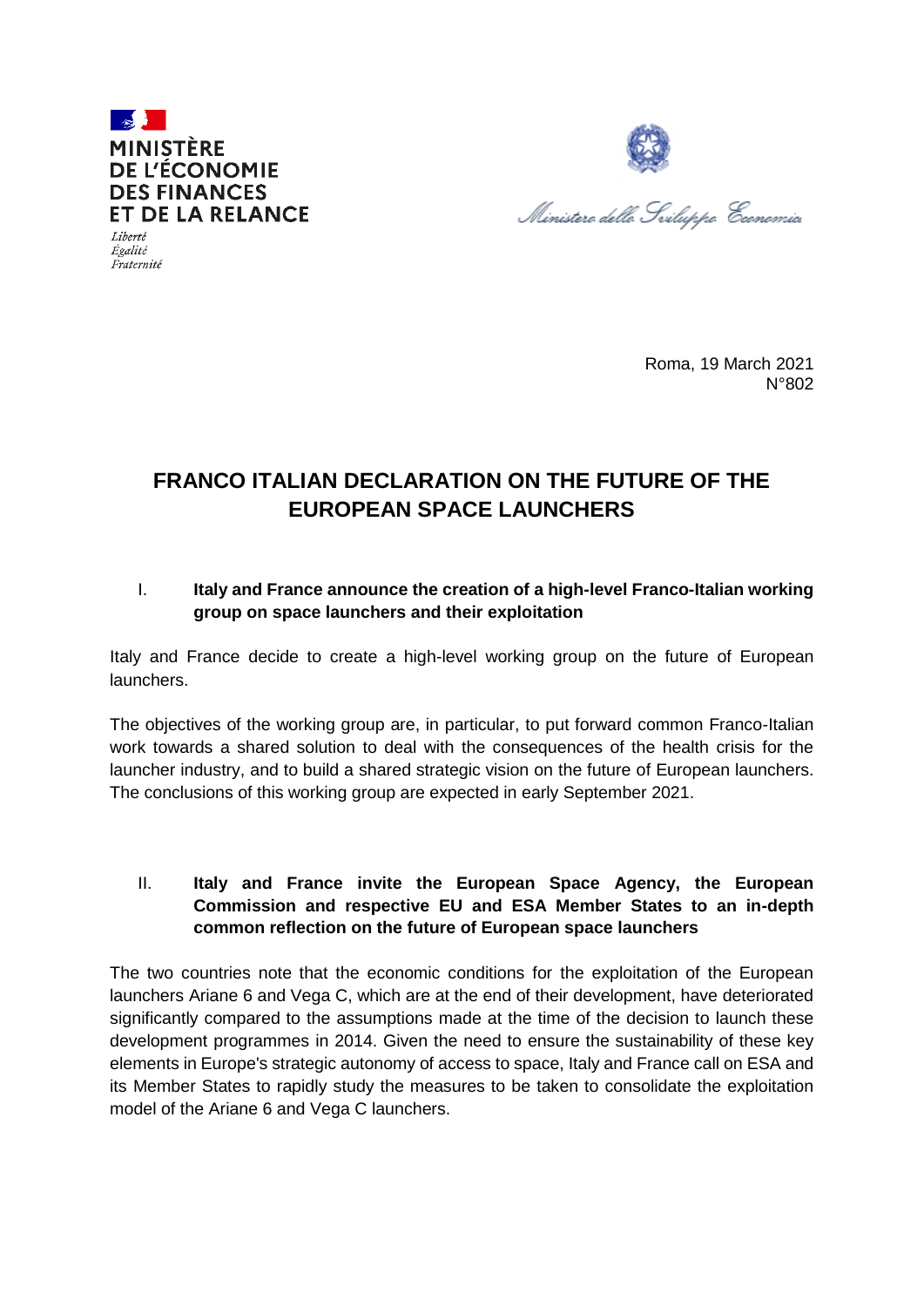



 $Iihertó$ Égalité Fraternité

> Roma, 19 March 2021 N°802

## **FRANCO ITALIAN DECLARATION ON THE FUTURE OF THE EUROPEAN SPACE LAUNCHERS**

## I. **Italy and France announce the creation of a high-level Franco-Italian working group on space launchers and their exploitation**

Italy and France decide to create a high-level working group on the future of European launchers.

The objectives of the working group are, in particular, to put forward common Franco-Italian work towards a shared solution to deal with the consequences of the health crisis for the launcher industry, and to build a shared strategic vision on the future of European launchers. The conclusions of this working group are expected in early September 2021.

## II. **Italy and France invite the European Space Agency, the European Commission and respective EU and ESA Member States to an in-depth common reflection on the future of European space launchers**

The two countries note that the economic conditions for the exploitation of the European launchers Ariane 6 and Vega C, which are at the end of their development, have deteriorated significantly compared to the assumptions made at the time of the decision to launch these development programmes in 2014. Given the need to ensure the sustainability of these key elements in Europe's strategic autonomy of access to space, Italy and France call on ESA and its Member States to rapidly study the measures to be taken to consolidate the exploitation model of the Ariane 6 and Vega C launchers.